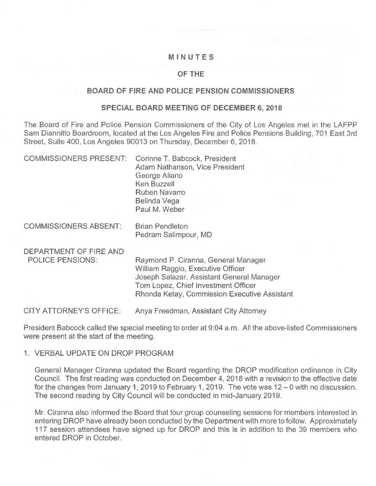## MINUTES

# OF THE

#### BOARD OF FIRE AND POLICE PENSION COMMISSIONERS

#### SPECIAL BOARD MEETING OF DECEMBER 6, 2018

The Board of Fire and Police Pension Commissioners of the City of Los Angeles met in the LAFPP Sam Diannitto Boardroom, located at the Los Angeles Fire and Police Pensions Building, 701 East 3rd Street, Suite 400, Los Angeles 90013 on Thursday, December 6, 2018.

| COMMISSIONERS PRESENT: Corinne T. Babcock, President |                                |
|------------------------------------------------------|--------------------------------|
|                                                      | Adam Nathanson, Vice President |
|                                                      | George Aliano                  |
|                                                      | Ken Buzzell                    |
|                                                      | <b>Ruben Navarro</b>           |
|                                                      | Belinda Vega                   |
|                                                      | Paul M. Weber                  |
|                                                      |                                |

COMMISSIONERS ABSENT: Brian Pendleton Pedram Salimpour, MD

DEPARTMENT OF FIRE AND<br>POLICE PENSIONS:

Raymond P. Ciranna, General Manager William Raggio, Executive Officer Joseph Salazar, Assistant General Manager Tom Lopez, Chief Investment Officer Rhonda Ketay, Commission Executive Assistant

CITY ATTORNEY'S OFFICE: Anya Freedman, Assistant City Attorney

President Babcock called the special meeting to order at 9:04 a.m. All the above-listed Commissioners were present at the start of the meeting.

### 1. VERBAL UPDATE ON DROP PROGRAM

General Manager Ciranna updated the Board regarding the DROP modification ordinance in City Council. The first reading was conducted on December 4, 2018 with a revision to the effective date for the changes from January 1, 2019 to February 1, 2019. The vote was 12 — 0 with no discussion. The second reading by City Council will be conducted in mid-January 2019.

Mr. Ciranna also informed the Board that four group counseling sessions for members interested in entering DROP have already been conducted by the Department with more to follow. Approximately 117 session attendees have signed up for DROP and this is in addition to the 39 members who entered DROP in October.